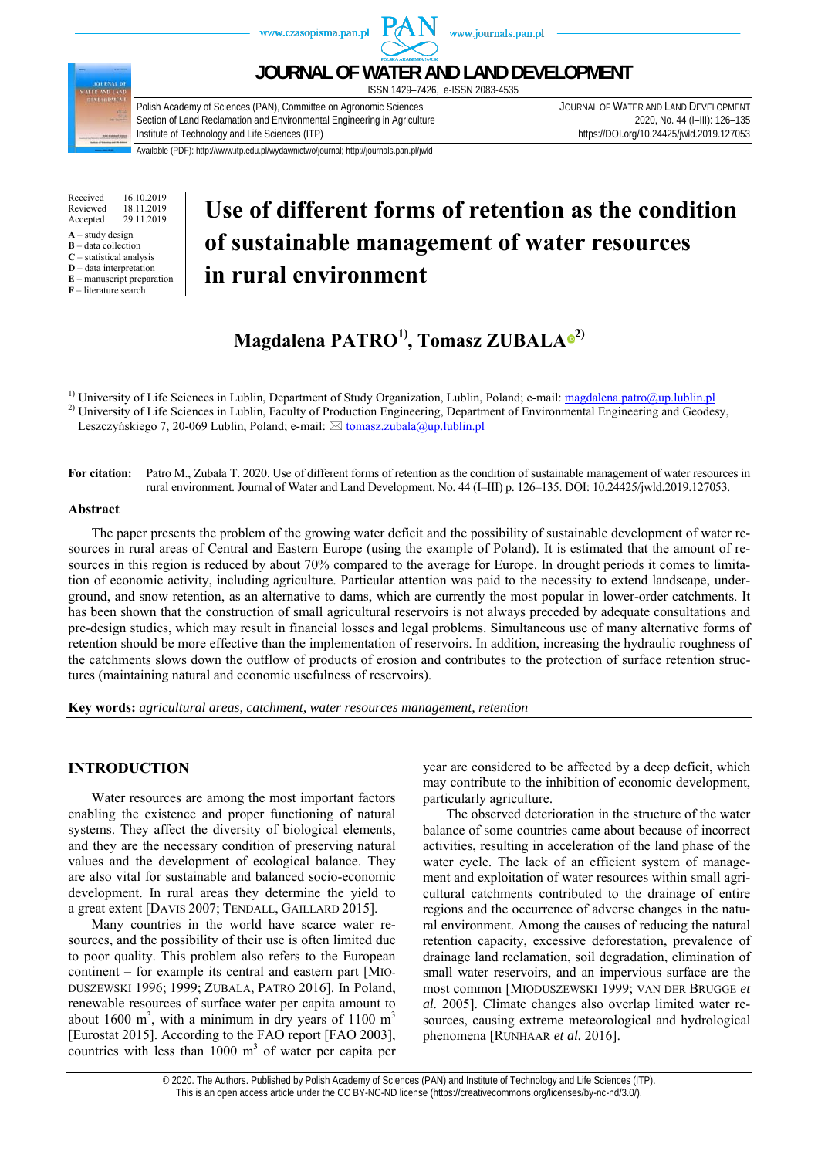

Received 16.10.2019<br>Reviewed 18.11.2019 Reviewed 18.11.2019<br>Accepted 29.11.2019 29.11.2019

- $A -$ study design
- **B** data collection **C** – statistical analysis
- **D** data interpretation
- **E** manuscript preparation

**F** – literature search

# **Use of different forms of retention as the condition of sustainable management of water resources in rural environment**

# **Magdalena PATRO1), Tomasz ZUBAL[A](https://orcid.org/0000-0001-8308-3515) 2)**

<sup>1)</sup> University of Life Sciences in Lublin, Department of Study Organization, Lublin, Poland; e-mail:  $\frac{magdalena.patho@up.lublin.pl}{mgdalena.patho@up.lublin.pl}$ <br><sup>2)</sup> University of Life Sciences in Lublin, Faculty of Production Engineering, Department Leszczyńskiego 7, 20-069 Lublin, Poland; e-mail:  $\boxtimes$  tomasz.zubala@up.lublin.pl

**For citation:** Patro M., Zubala T. 2020. Use of different forms of retention as the condition of sustainable management of water resources in rural environment. Journal of Water and Land Development. No. 44 (I–III) p. 126–135. DOI: 10.24425/jwld.2019.127053.

#### **Abstract**

The paper presents the problem of the growing water deficit and the possibility of sustainable development of water resources in rural areas of Central and Eastern Europe (using the example of Poland). It is estimated that the amount of resources in this region is reduced by about 70% compared to the average for Europe. In drought periods it comes to limitation of economic activity, including agriculture. Particular attention was paid to the necessity to extend landscape, underground, and snow retention, as an alternative to dams, which are currently the most popular in lower-order catchments. It has been shown that the construction of small agricultural reservoirs is not always preceded by adequate consultations and pre-design studies, which may result in financial losses and legal problems. Simultaneous use of many alternative forms of retention should be more effective than the implementation of reservoirs. In addition, increasing the hydraulic roughness of the catchments slows down the outflow of products of erosion and contributes to the protection of surface retention structures (maintaining natural and economic usefulness of reservoirs).

**Key words:** *agricultural areas, catchment, water resources management, retention* 

## **INTRODUCTION**

Water resources are among the most important factors enabling the existence and proper functioning of natural systems. They affect the diversity of biological elements, and they are the necessary condition of preserving natural values and the development of ecological balance. They are also vital for sustainable and balanced socio-economic development. In rural areas they determine the yield to a great extent [DAVIS 2007; TENDALL, GAILLARD 2015].

Many countries in the world have scarce water resources, and the possibility of their use is often limited due to poor quality. This problem also refers to the European continent – for example its central and eastern part [MIO-DUSZEWSKI 1996; 1999; ZUBALA, PATRO 2016]. In Poland, renewable resources of surface water per capita amount to about 1600 m<sup>3</sup>, with a minimum in dry years of 1100 m<sup>3</sup> [Eurostat 2015]. According to the FAO report [FAO 2003], countries with less than  $1000 \text{ m}^3$  of water per capita per year are considered to be affected by a deep deficit, which may contribute to the inhibition of economic development, particularly agriculture.

The observed deterioration in the structure of the water balance of some countries came about because of incorrect activities, resulting in acceleration of the land phase of the water cycle. The lack of an efficient system of management and exploitation of water resources within small agricultural catchments contributed to the drainage of entire regions and the occurrence of adverse changes in the natural environment. Among the causes of reducing the natural retention capacity, excessive deforestation, prevalence of drainage land reclamation, soil degradation, elimination of small water reservoirs, and an impervious surface are the most common [MIODUSZEWSKI 1999; VAN DER BRUGGE *et al.* 2005]. Climate changes also overlap limited water resources, causing extreme meteorological and hydrological phenomena [RUNHAAR *et al.* 2016].

© 2020. The Authors. Published by Polish Academy of Sciences (PAN) and Institute of Technology and Life Sciences (ITP). This is an open access article under the CC BY-NC-ND license (https://creativecommons.org/licenses/by-nc-nd/3.0/).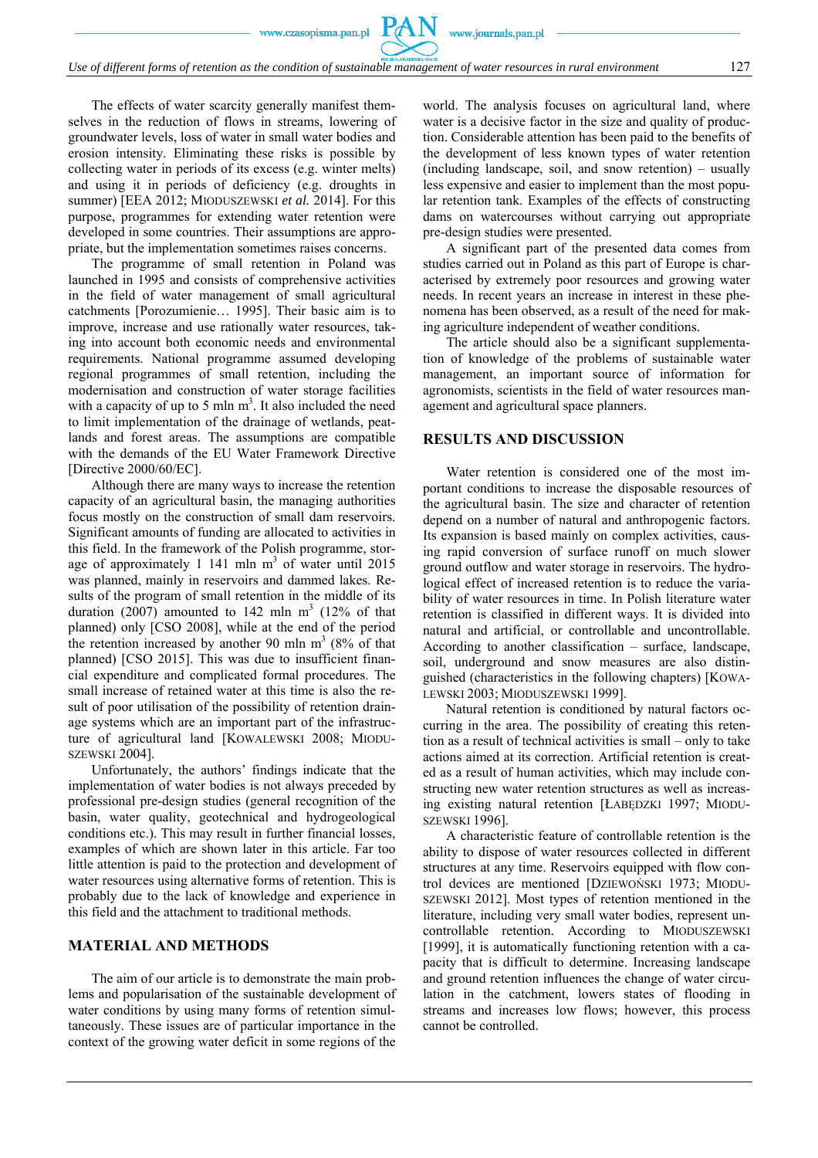The effects of water scarcity generally manifest themselves in the reduction of flows in streams, lowering of groundwater levels, loss of water in small water bodies and erosion intensity. Eliminating these risks is possible by collecting water in periods of its excess (e.g. winter melts) and using it in periods of deficiency (e.g. droughts in summer) [EEA 2012; MIODUSZEWSKI *et al.* 2014]. For this purpose, programmes for extending water retention were developed in some countries. Their assumptions are appropriate, but the implementation sometimes raises concerns.

The programme of small retention in Poland was launched in 1995 and consists of comprehensive activities in the field of water management of small agricultural catchments [Porozumienie… 1995]. Their basic aim is to improve, increase and use rationally water resources, taking into account both economic needs and environmental requirements. National programme assumed developing regional programmes of small retention, including the modernisation and construction of water storage facilities with a capacity of up to 5 mln  $m<sup>3</sup>$ . It also included the need to limit implementation of the drainage of wetlands, peatlands and forest areas. The assumptions are compatible with the demands of the EU Water Framework Directive [Directive 2000/60/EC].

Although there are many ways to increase the retention capacity of an agricultural basin, the managing authorities focus mostly on the construction of small dam reservoirs. Significant amounts of funding are allocated to activities in this field. In the framework of the Polish programme, storage of approximately 1 141 mln  $m<sup>3</sup>$  of water until 2015 was planned, mainly in reservoirs and dammed lakes. Results of the program of small retention in the middle of its duration  $(2007)$  amounted to 142 mln m<sup>3</sup> (12% of that planned) only [CSO 2008], while at the end of the period the retention increased by another 90 mln  $m<sup>3</sup>$  (8% of that planned) [CSO 2015]. This was due to insufficient financial expenditure and complicated formal procedures. The small increase of retained water at this time is also the result of poor utilisation of the possibility of retention drainage systems which are an important part of the infrastructure of agricultural land [KOWALEWSKI 2008; MIODU-SZEWSKI 2004].

Unfortunately, the authors' findings indicate that the implementation of water bodies is not always preceded by professional pre-design studies (general recognition of the basin, water quality, geotechnical and hydrogeological conditions etc.). This may result in further financial losses, examples of which are shown later in this article. Far too little attention is paid to the protection and development of water resources using alternative forms of retention. This is probably due to the lack of knowledge and experience in this field and the attachment to traditional methods.

### **MATERIAL AND METHODS**

The aim of our article is to demonstrate the main problems and popularisation of the sustainable development of water conditions by using many forms of retention simultaneously. These issues are of particular importance in the context of the growing water deficit in some regions of the

world. The analysis focuses on agricultural land, where water is a decisive factor in the size and quality of production. Considerable attention has been paid to the benefits of the development of less known types of water retention (including landscape, soil, and snow retention) – usually less expensive and easier to implement than the most popular retention tank. Examples of the effects of constructing dams on watercourses without carrying out appropriate pre-design studies were presented.

A significant part of the presented data comes from studies carried out in Poland as this part of Europe is characterised by extremely poor resources and growing water needs. In recent years an increase in interest in these phenomena has been observed, as a result of the need for making agriculture independent of weather conditions.

The article should also be a significant supplementation of knowledge of the problems of sustainable water management, an important source of information for agronomists, scientists in the field of water resources management and agricultural space planners.

#### **RESULTS AND DISCUSSION**

Water retention is considered one of the most important conditions to increase the disposable resources of the agricultural basin. The size and character of retention depend on a number of natural and anthropogenic factors. Its expansion is based mainly on complex activities, causing rapid conversion of surface runoff on much slower ground outflow and water storage in reservoirs. The hydrological effect of increased retention is to reduce the variability of water resources in time. In Polish literature water retention is classified in different ways. It is divided into natural and artificial, or controllable and uncontrollable. According to another classification – surface, landscape, soil, underground and snow measures are also distinguished (characteristics in the following chapters) [KOWA-LEWSKI 2003; MIODUSZEWSKI 1999].

Natural retention is conditioned by natural factors occurring in the area. The possibility of creating this retention as a result of technical activities is small – only to take actions aimed at its correction. Artificial retention is created as a result of human activities, which may include constructing new water retention structures as well as increasing existing natural retention [ŁABĘDZKI 1997; MIODU-SZEWSKI 1996].

A characteristic feature of controllable retention is the ability to dispose of water resources collected in different structures at any time. Reservoirs equipped with flow control devices are mentioned [DZIEWOŃSKI 1973; MIODU-SZEWSKI 2012]. Most types of retention mentioned in the literature, including very small water bodies, represent uncontrollable retention. According to MIODUSZEWSKI [1999], it is automatically functioning retention with a capacity that is difficult to determine. Increasing landscape and ground retention influences the change of water circulation in the catchment, lowers states of flooding in streams and increases low flows; however, this process cannot be controlled.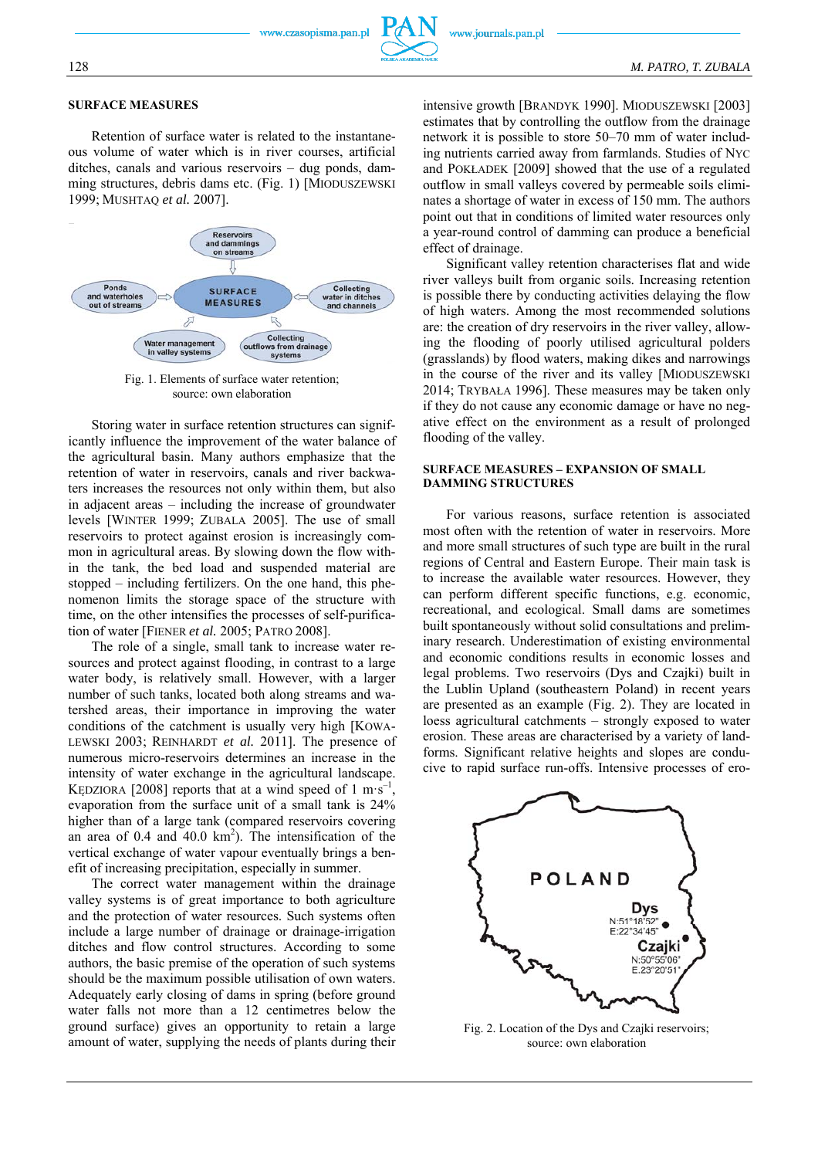#### **SURFACE MEASURES**

Retention of surface water is related to the instantaneous volume of water which is in river courses, artificial ditches, canals and various reservoirs – dug ponds, damming structures, debris dams etc. (Fig. 1) [MIODUSZEWSKI 1999; MUSHTAQ *et al.* 2007].



Fig. 1. Elements of surface water retention; source: own elaboration

Storing water in surface retention structures can significantly influence the improvement of the water balance of the agricultural basin. Many authors emphasize that the retention of water in reservoirs, canals and river backwaters increases the resources not only within them, but also in adjacent areas – including the increase of groundwater levels [WINTER 1999; ZUBALA 2005]. The use of small reservoirs to protect against erosion is increasingly common in agricultural areas. By slowing down the flow within the tank, the bed load and suspended material are stopped – including fertilizers. On the one hand, this phenomenon limits the storage space of the structure with time, on the other intensifies the processes of self-purification of water [FIENER *et al.* 2005; PATRO 2008].

The role of a single, small tank to increase water resources and protect against flooding, in contrast to a large water body, is relatively small. However, with a larger number of such tanks, located both along streams and watershed areas, their importance in improving the water conditions of the catchment is usually very high [KOWA-LEWSKI 2003; REINHARDT *et al.* 2011]. The presence of numerous micro-reservoirs determines an increase in the intensity of water exchange in the agricultural landscape. KĘDZIORA [2008] reports that at a wind speed of  $1 \text{ m} \cdot \text{s}^{-1}$ evaporation from the surface unit of a small tank is 24% higher than of a large tank (compared reservoirs covering an area of  $0.4$  and  $40.0 \text{ km}^2$ ). The intensification of the vertical exchange of water vapour eventually brings a benefit of increasing precipitation, especially in summer.

The correct water management within the drainage valley systems is of great importance to both agriculture and the protection of water resources. Such systems often include a large number of drainage or drainage-irrigation ditches and flow control structures. According to some authors, the basic premise of the operation of such systems should be the maximum possible utilisation of own waters. Adequately early closing of dams in spring (before ground water falls not more than a 12 centimetres below the ground surface) gives an opportunity to retain a large amount of water, supplying the needs of plants during their intensive growth [BRANDYK 1990]. MIODUSZEWSKI [2003] estimates that by controlling the outflow from the drainage network it is possible to store 50–70 mm of water including nutrients carried away from farmlands. Studies of NYC and POKŁADEK [2009] showed that the use of a regulated outflow in small valleys covered by permeable soils eliminates a shortage of water in excess of 150 mm. The authors point out that in conditions of limited water resources only a year-round control of damming can produce a beneficial effect of drainage.

Significant valley retention characterises flat and wide river valleys built from organic soils. Increasing retention is possible there by conducting activities delaying the flow of high waters. Among the most recommended solutions are: the creation of dry reservoirs in the river valley, allowing the flooding of poorly utilised agricultural polders (grasslands) by flood waters, making dikes and narrowings in the course of the river and its valley [MIODUSZEWSKI 2014; TRYBAŁA 1996]. These measures may be taken only if they do not cause any economic damage or have no negative effect on the environment as a result of prolonged flooding of the valley.

#### **SURFACE MEASURES – EXPANSION OF SMALL DAMMING STRUCTURES**

For various reasons, surface retention is associated most often with the retention of water in reservoirs. More and more small structures of such type are built in the rural regions of Central and Eastern Europe. Their main task is to increase the available water resources. However, they can perform different specific functions, e.g. economic, recreational, and ecological. Small dams are sometimes built spontaneously without solid consultations and preliminary research. Underestimation of existing environmental and economic conditions results in economic losses and legal problems. Two reservoirs (Dys and Czajki) built in the Lublin Upland (southeastern Poland) in recent years are presented as an example (Fig. 2). They are located in loess agricultural catchments – strongly exposed to water erosion. These areas are characterised by a variety of landforms. Significant relative heights and slopes are conducive to rapid surface run-offs. Intensive processes of ero-



Fig. 2. Location of the Dys and Czajki reservoirs; source: own elaboration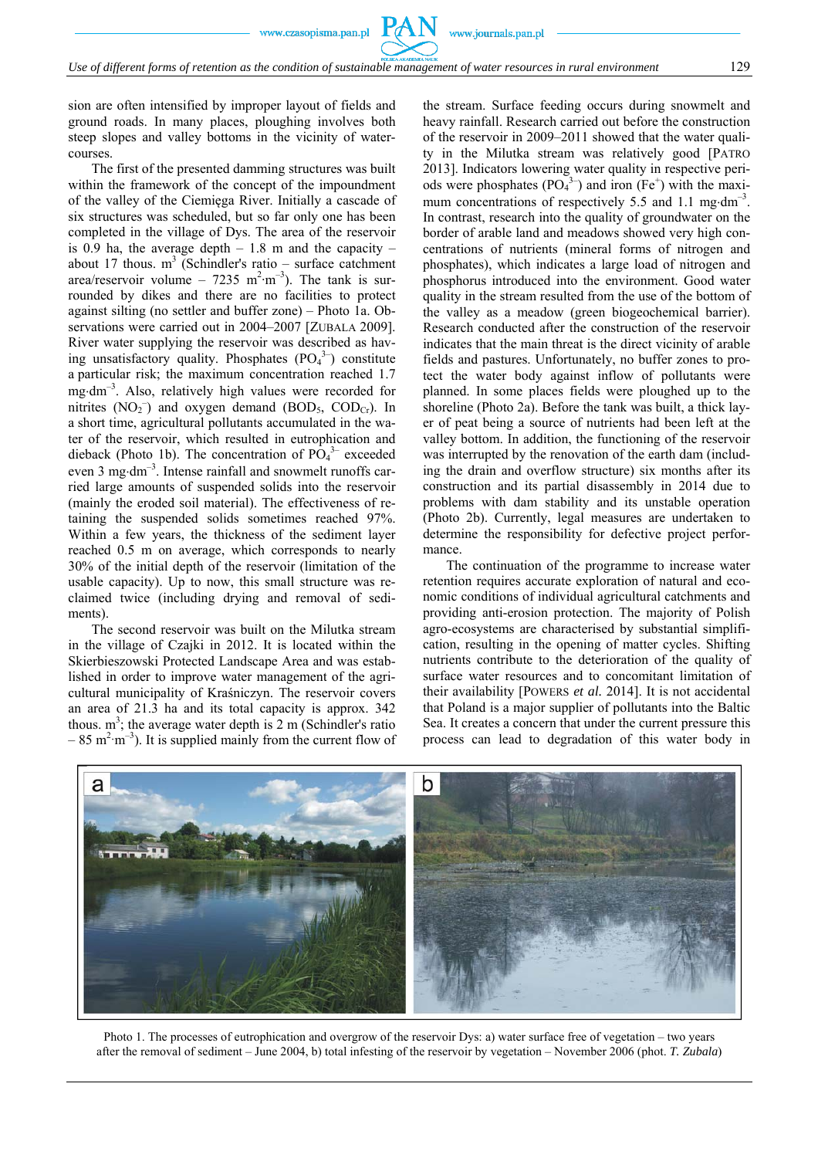sion are often intensified by improper layout of fields and ground roads. In many places, ploughing involves both steep slopes and valley bottoms in the vicinity of watercourses.

The first of the presented damming structures was built within the framework of the concept of the impoundment of the valley of the Ciemięga River. Initially a cascade of six structures was scheduled, but so far only one has been completed in the village of Dys. The area of the reservoir is 0.9 ha, the average depth  $-1.8$  m and the capacity  $$ about 17 thous.  $m^3$  (Schindler's ratio – surface catchment area/reservoir volume – 7235 m<sup>2</sup>·m<sup>-3</sup>). The tank is surrounded by dikes and there are no facilities to protect against silting (no settler and buffer zone) – Photo 1a. Observations were carried out in 2004–2007 [ZUBALA 2009]. River water supplying the reservoir was described as having unsatisfactory quality. Phosphates  $(PO<sub>4</sub><sup>3-</sup>)$  constitute a particular risk; the maximum concentration reached 1.7 mg $dm^{-3}$ . Also, relatively high values were recorded for nitrites  $(NO<sub>2</sub><sup>-</sup>)$  and oxygen demand  $(BOD<sub>5</sub>, COD<sub>Cr</sub>)$ . In a short time, agricultural pollutants accumulated in the water of the reservoir, which resulted in eutrophication and dieback (Photo 1b). The concentration of  $\overline{PO_4}^{3-}$  exceeded even 3 mg·dm<sup>-3</sup>. Intense rainfall and snowmelt runoffs carried large amounts of suspended solids into the reservoir (mainly the eroded soil material). The effectiveness of retaining the suspended solids sometimes reached 97%. Within a few years, the thickness of the sediment layer reached 0.5 m on average, which corresponds to nearly 30% of the initial depth of the reservoir (limitation of the usable capacity). Up to now, this small structure was reclaimed twice (including drying and removal of sediments).

The second reservoir was built on the Milutka stream in the village of Czajki in 2012. It is located within the Skierbieszowski Protected Landscape Area and was established in order to improve water management of the agricultural municipality of Kraśniczyn. The reservoir covers an area of 21.3 ha and its total capacity is approx. 342 thous.  $m^3$ ; the average water depth is 2 m (Schindler's ratio  $-85$  m<sup>2</sup>·m<sup>-3</sup>). It is supplied mainly from the current flow of the stream. Surface feeding occurs during snowmelt and heavy rainfall. Research carried out before the construction of the reservoir in 2009–2011 showed that the water quality in the Milutka stream was relatively good [PATRO 2013]. Indicators lowering water quality in respective periods were phosphates  $(PO<sub>4</sub><sup>3-</sup>)$  and iron  $(Fe<sup>+</sup>)$  with the maximum concentrations of respectively 5.5 and 1.1 mg·dm<sup>-3</sup>. In contrast, research into the quality of groundwater on the border of arable land and meadows showed very high concentrations of nutrients (mineral forms of nitrogen and phosphates), which indicates a large load of nitrogen and phosphorus introduced into the environment. Good water quality in the stream resulted from the use of the bottom of the valley as a meadow (green biogeochemical barrier). Research conducted after the construction of the reservoir indicates that the main threat is the direct vicinity of arable fields and pastures. Unfortunately, no buffer zones to protect the water body against inflow of pollutants were planned. In some places fields were ploughed up to the shoreline (Photo 2a). Before the tank was built, a thick layer of peat being a source of nutrients had been left at the valley bottom. In addition, the functioning of the reservoir was interrupted by the renovation of the earth dam (including the drain and overflow structure) six months after its construction and its partial disassembly in 2014 due to problems with dam stability and its unstable operation (Photo 2b). Currently, legal measures are undertaken to determine the responsibility for defective project performance.

The continuation of the programme to increase water retention requires accurate exploration of natural and economic conditions of individual agricultural catchments and providing anti-erosion protection. The majority of Polish agro-ecosystems are characterised by substantial simplification, resulting in the opening of matter cycles. Shifting nutrients contribute to the deterioration of the quality of surface water resources and to concomitant limitation of their availability [POWERS *et al.* 2014]. It is not accidental that Poland is a major supplier of pollutants into the Baltic Sea. It creates a concern that under the current pressure this process can lead to degradation of this water body in



Photo 1. The processes of eutrophication and overgrow of the reservoir Dys: a) water surface free of vegetation – two years after the removal of sediment – June 2004, b) total infesting of the reservoir by vegetation – November 2006 (phot. *T. Zubala*)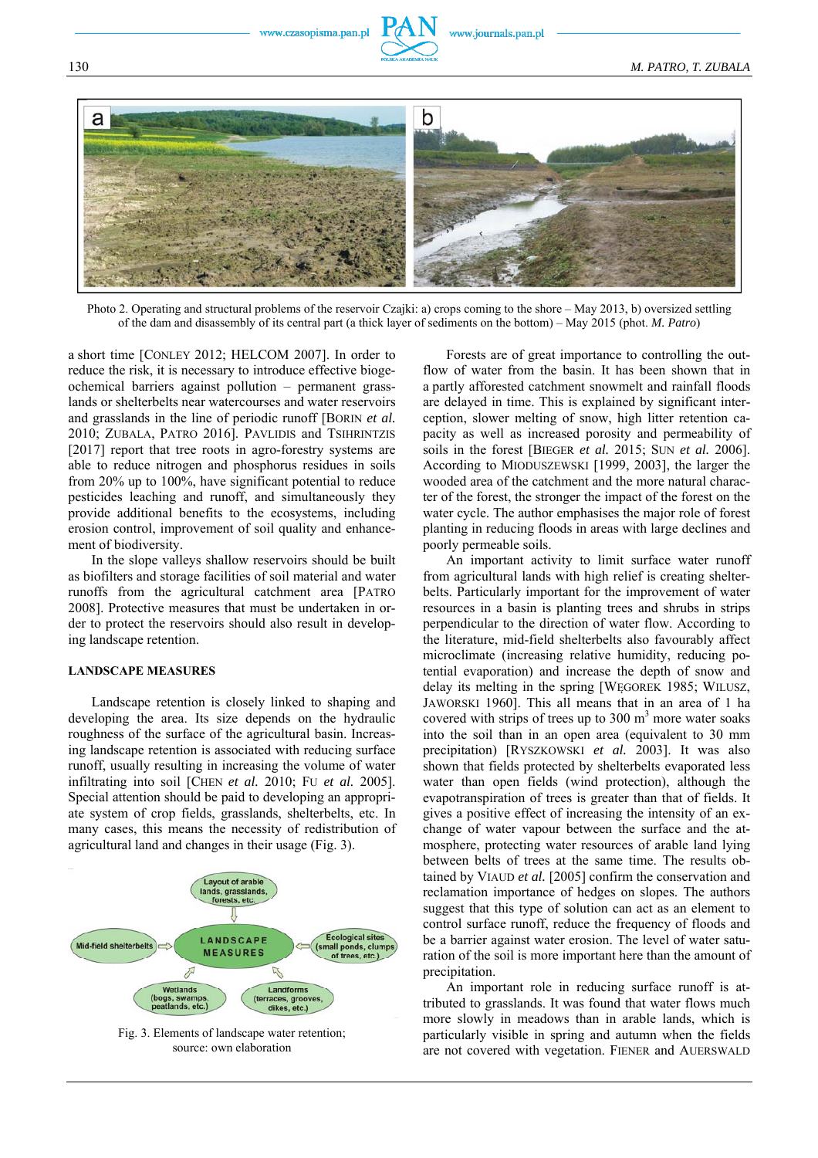



Photo 2. Operating and structural problems of the reservoir Czajki: a) crops coming to the shore – May 2013, b) oversized settling of the dam and disassembly of its central part (a thick layer of sediments on the bottom) – May 2015 (phot. *M. Patro*)

a short time [CONLEY 2012; HELCOM 2007]. In order to reduce the risk, it is necessary to introduce effective biogeochemical barriers against pollution – permanent grasslands or shelterbelts near watercourses and water reservoirs and grasslands in the line of periodic runoff [BORIN *et al.* 2010; ZUBALA, PATRO 2016]. PAVLIDIS and TSIHRINTZIS [2017] report that tree roots in agro-forestry systems are able to reduce nitrogen and phosphorus residues in soils from 20% up to 100%, have significant potential to reduce pesticides leaching and runoff, and simultaneously they provide additional benefits to the ecosystems, including erosion control, improvement of soil quality and enhancement of biodiversity.

In the slope valleys shallow reservoirs should be built as biofilters and storage facilities of soil material and water runoffs from the agricultural catchment area [PATRO 2008]. Protective measures that must be undertaken in order to protect the reservoirs should also result in developing landscape retention.

#### **LANDSCAPE MEASURES**

Landscape retention is closely linked to shaping and developing the area. Its size depends on the hydraulic roughness of the surface of the agricultural basin. Increasing landscape retention is associated with reducing surface runoff, usually resulting in increasing the volume of water infiltrating into soil [CHEN *et al.* 2010; FU *et al.* 2005]. Special attention should be paid to developing an appropriate system of crop fields, grasslands, shelterbelts, etc. In many cases, this means the necessity of redistribution of agricultural land and changes in their usage (Fig. 3).



Fig. 3. Elements of landscape water retention; source: own elaboration

Forests are of great importance to controlling the outflow of water from the basin. It has been shown that in a partly afforested catchment snowmelt and rainfall floods are delayed in time. This is explained by significant interception, slower melting of snow, high litter retention capacity as well as increased porosity and permeability of soils in the forest [BIEGER *et al.* 2015; SUN *et al.* 2006]. According to MIODUSZEWSKI [1999, 2003], the larger the wooded area of the catchment and the more natural character of the forest, the stronger the impact of the forest on the water cycle. The author emphasises the major role of forest planting in reducing floods in areas with large declines and poorly permeable soils.

An important activity to limit surface water runoff from agricultural lands with high relief is creating shelterbelts. Particularly important for the improvement of water resources in a basin is planting trees and shrubs in strips perpendicular to the direction of water flow. According to the literature, mid-field shelterbelts also favourably affect microclimate (increasing relative humidity, reducing potential evaporation) and increase the depth of snow and delay its melting in the spring [WĘGOREK 1985; WILUSZ, JAWORSKI 1960]. This all means that in an area of 1 ha covered with strips of trees up to  $300 \text{ m}^3$  more water soaks into the soil than in an open area (equivalent to 30 mm precipitation) [RYSZKOWSKI *et al.* 2003]. It was also shown that fields protected by shelterbelts evaporated less water than open fields (wind protection), although the evapotranspiration of trees is greater than that of fields. It gives a positive effect of increasing the intensity of an exchange of water vapour between the surface and the atmosphere, protecting water resources of arable land lying between belts of trees at the same time. The results obtained by VIAUD *et al.* [2005] confirm the conservation and reclamation importance of hedges on slopes. The authors suggest that this type of solution can act as an element to control surface runoff, reduce the frequency of floods and be a barrier against water erosion. The level of water saturation of the soil is more important here than the amount of precipitation.

An important role in reducing surface runoff is attributed to grasslands. It was found that water flows much more slowly in meadows than in arable lands, which is particularly visible in spring and autumn when the fields are not covered with vegetation. FIENER and AUERSWALD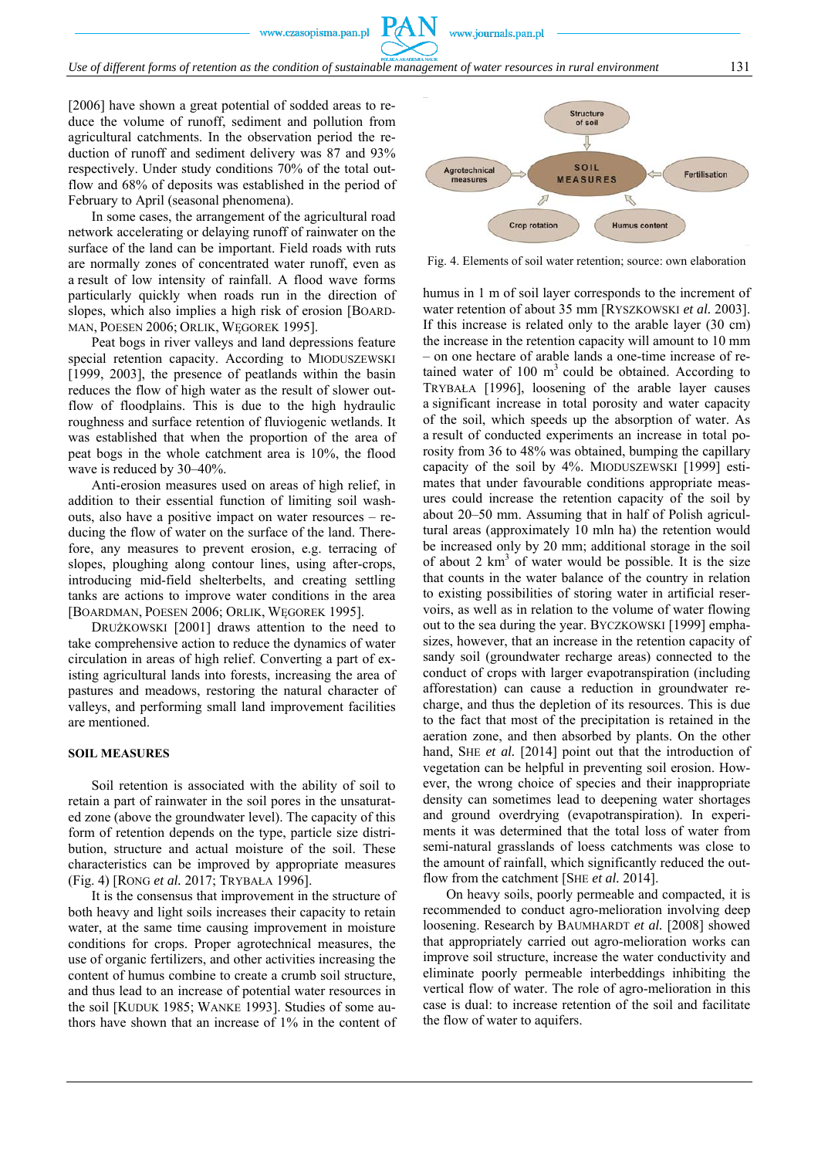[2006] have shown a great potential of sodded areas to reduce the volume of runoff, sediment and pollution from agricultural catchments. In the observation period the reduction of runoff and sediment delivery was 87 and 93% respectively. Under study conditions 70% of the total outflow and 68% of deposits was established in the period of February to April (seasonal phenomena).

In some cases, the arrangement of the agricultural road network accelerating or delaying runoff of rainwater on the surface of the land can be important. Field roads with ruts are normally zones of concentrated water runoff, even as a result of low intensity of rainfall. A flood wave forms particularly quickly when roads run in the direction of slopes, which also implies a high risk of erosion [BOARD-MAN, POESEN 2006; ORLIK, WĘGOREK 1995].

Peat bogs in river valleys and land depressions feature special retention capacity. According to MIODUSZEWSKI [1999, 2003], the presence of peatlands within the basin reduces the flow of high water as the result of slower outflow of floodplains. This is due to the high hydraulic roughness and surface retention of fluviogenic wetlands. It was established that when the proportion of the area of peat bogs in the whole catchment area is 10%, the flood wave is reduced by 30–40%.

Anti-erosion measures used on areas of high relief, in addition to their essential function of limiting soil washouts, also have a positive impact on water resources – reducing the flow of water on the surface of the land. Therefore, any measures to prevent erosion, e.g. terracing of slopes, ploughing along contour lines, using after-crops, introducing mid-field shelterbelts, and creating settling tanks are actions to improve water conditions in the area [BOARDMAN, POESEN 2006; ORLIK, WĘGOREK 1995].

DRUŻKOWSKI [2001] draws attention to the need to take comprehensive action to reduce the dynamics of water circulation in areas of high relief. Converting a part of existing agricultural lands into forests, increasing the area of pastures and meadows, restoring the natural character of valleys, and performing small land improvement facilities are mentioned.

#### **SOIL MEASURES**

Soil retention is associated with the ability of soil to retain a part of rainwater in the soil pores in the unsaturated zone (above the groundwater level). The capacity of this form of retention depends on the type, particle size distribution, structure and actual moisture of the soil. These characteristics can be improved by appropriate measures (Fig. 4) [RONG *et al.* 2017; TRYBAŁA 1996].

It is the consensus that improvement in the structure of both heavy and light soils increases their capacity to retain water, at the same time causing improvement in moisture conditions for crops. Proper agrotechnical measures, the use of organic fertilizers, and other activities increasing the content of humus combine to create a crumb soil structure, and thus lead to an increase of potential water resources in the soil [KUDUK 1985; WANKE 1993]. Studies of some authors have shown that an increase of 1% in the content of



www.journals.pan.pl

Fig. 4. Elements of soil water retention; source: own elaboration

humus in 1 m of soil layer corresponds to the increment of water retention of about 35 mm [RYSZKOWSKI *et al.* 2003]. If this increase is related only to the arable layer (30 cm) the increase in the retention capacity will amount to 10 mm – on one hectare of arable lands a one-time increase of retained water of  $100 \text{ m}^3$  could be obtained. According to TRYBAŁA [1996], loosening of the arable layer causes a significant increase in total porosity and water capacity of the soil, which speeds up the absorption of water. As a result of conducted experiments an increase in total porosity from 36 to 48% was obtained, bumping the capillary capacity of the soil by 4%. MIODUSZEWSKI [1999] estimates that under favourable conditions appropriate measures could increase the retention capacity of the soil by about 20–50 mm. Assuming that in half of Polish agricultural areas (approximately 10 mln ha) the retention would be increased only by 20 mm; additional storage in the soil of about 2  $km<sup>3</sup>$  of water would be possible. It is the size that counts in the water balance of the country in relation to existing possibilities of storing water in artificial reservoirs, as well as in relation to the volume of water flowing out to the sea during the year. BYCZKOWSKI [1999] emphasizes, however, that an increase in the retention capacity of sandy soil (groundwater recharge areas) connected to the conduct of crops with larger evapotranspiration (including afforestation) can cause a reduction in groundwater recharge, and thus the depletion of its resources. This is due to the fact that most of the precipitation is retained in the aeration zone, and then absorbed by plants. On the other hand, SHE *et al.* [2014] point out that the introduction of vegetation can be helpful in preventing soil erosion. However, the wrong choice of species and their inappropriate density can sometimes lead to deepening water shortages and ground overdrying (evapotranspiration). In experiments it was determined that the total loss of water from semi-natural grasslands of loess catchments was close to the amount of rainfall, which significantly reduced the outflow from the catchment [SHE *et al.* 2014].

On heavy soils, poorly permeable and compacted, it is recommended to conduct agro-melioration involving deep loosening. Research by BAUMHARDT *et al.* [2008] showed that appropriately carried out agro-melioration works can improve soil structure, increase the water conductivity and eliminate poorly permeable interbeddings inhibiting the vertical flow of water. The role of agro-melioration in this case is dual: to increase retention of the soil and facilitate the flow of water to aquifers.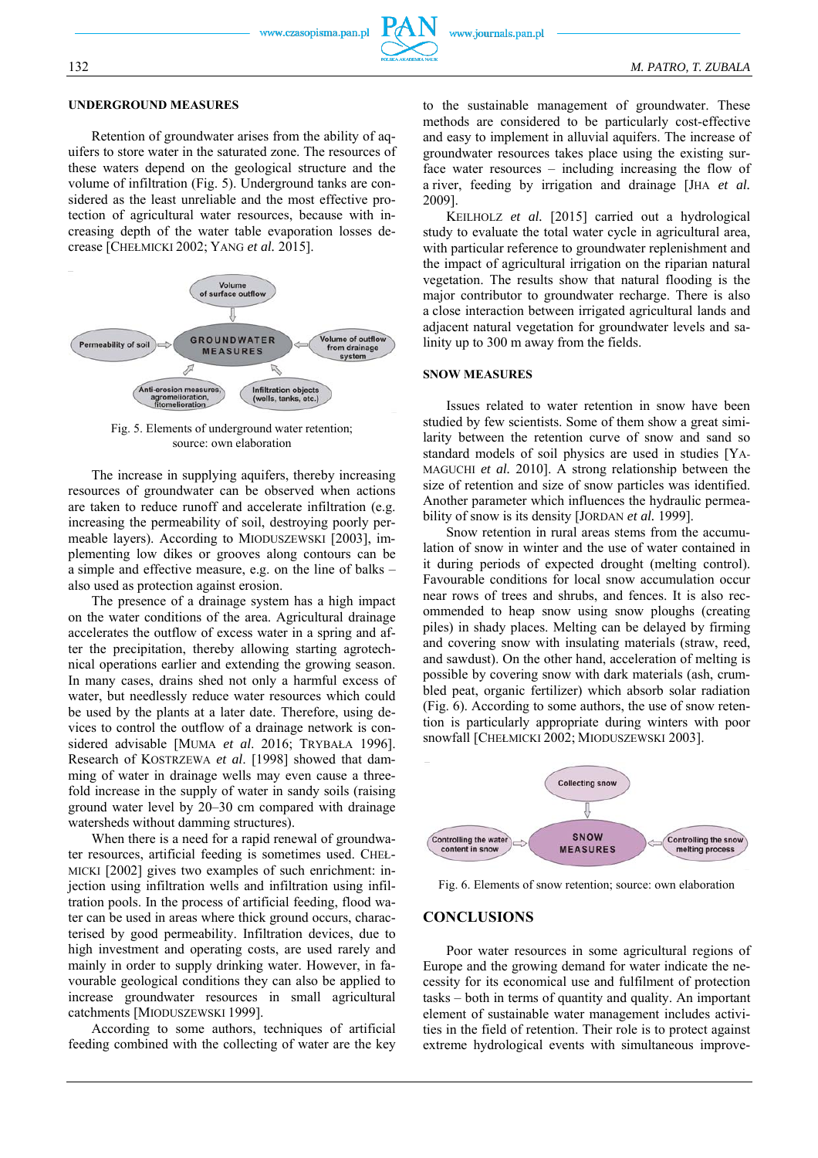#### **UNDERGROUND MEASURES**

Retention of groundwater arises from the ability of aquifers to store water in the saturated zone. The resources of these waters depend on the geological structure and the volume of infiltration (Fig. 5). Underground tanks are considered as the least unreliable and the most effective protection of agricultural water resources, because with increasing depth of the water table evaporation losses decrease [CHEŁMICKI 2002; YANG *et al.* 2015].



Fig. 5. Elements of underground water retention; source: own elaboration

The increase in supplying aquifers, thereby increasing resources of groundwater can be observed when actions are taken to reduce runoff and accelerate infiltration (e.g. increasing the permeability of soil, destroying poorly permeable layers). According to MIODUSZEWSKI [2003], implementing low dikes or grooves along contours can be a simple and effective measure, e.g. on the line of balks – also used as protection against erosion.

The presence of a drainage system has a high impact on the water conditions of the area. Agricultural drainage accelerates the outflow of excess water in a spring and after the precipitation, thereby allowing starting agrotechnical operations earlier and extending the growing season. In many cases, drains shed not only a harmful excess of water, but needlessly reduce water resources which could be used by the plants at a later date. Therefore, using devices to control the outflow of a drainage network is considered advisable [MUMA *et al*. 2016; TRYBAŁA 1996]. Research of KOSTRZEWA *et al*. [1998] showed that damming of water in drainage wells may even cause a threefold increase in the supply of water in sandy soils (raising ground water level by 20–30 cm compared with drainage watersheds without damming structures).

When there is a need for a rapid renewal of groundwater resources, artificial feeding is sometimes used. CHEŁ-MICKI [2002] gives two examples of such enrichment: injection using infiltration wells and infiltration using infiltration pools. In the process of artificial feeding, flood water can be used in areas where thick ground occurs, characterised by good permeability. Infiltration devices, due to high investment and operating costs, are used rarely and mainly in order to supply drinking water. However, in favourable geological conditions they can also be applied to increase groundwater resources in small agricultural catchments [MIODUSZEWSKI 1999].

According to some authors, techniques of artificial feeding combined with the collecting of water are the key

to the sustainable management of groundwater. These methods are considered to be particularly cost-effective and easy to implement in alluvial aquifers. The increase of groundwater resources takes place using the existing surface water resources – including increasing the flow of a river, feeding by irrigation and drainage [JHA *et al.* 2009].

KEILHOLZ *et al.* [2015] carried out a hydrological study to evaluate the total water cycle in agricultural area, with particular reference to groundwater replenishment and the impact of agricultural irrigation on the riparian natural vegetation. The results show that natural flooding is the major contributor to groundwater recharge. There is also a close interaction between irrigated agricultural lands and adjacent natural vegetation for groundwater levels and salinity up to 300 m away from the fields.

#### **SNOW MEASURES**

Issues related to water retention in snow have been studied by few scientists. Some of them show a great similarity between the retention curve of snow and sand so standard models of soil physics are used in studies [YA-MAGUCHI *et al.* 2010]. A strong relationship between the size of retention and size of snow particles was identified. Another parameter which influences the hydraulic permeability of snow is its density [JORDAN *et al.* 1999].

Snow retention in rural areas stems from the accumulation of snow in winter and the use of water contained in it during periods of expected drought (melting control). Favourable conditions for local snow accumulation occur near rows of trees and shrubs, and fences. It is also recommended to heap snow using snow ploughs (creating piles) in shady places. Melting can be delayed by firming and covering snow with insulating materials (straw, reed, and sawdust). On the other hand, acceleration of melting is possible by covering snow with dark materials (ash, crumbled peat, organic fertilizer) which absorb solar radiation (Fig. 6). According to some authors, the use of snow retention is particularly appropriate during winters with poor snowfall [CHEŁMICKI 2002; MIODUSZEWSKI 2003].



Fig. 6. Elements of snow retention; source: own elaboration

#### **CONCLUSIONS**

Poor water resources in some agricultural regions of Europe and the growing demand for water indicate the necessity for its economical use and fulfilment of protection tasks – both in terms of quantity and quality. An important element of sustainable water management includes activities in the field of retention. Their role is to protect against extreme hydrological events with simultaneous improve-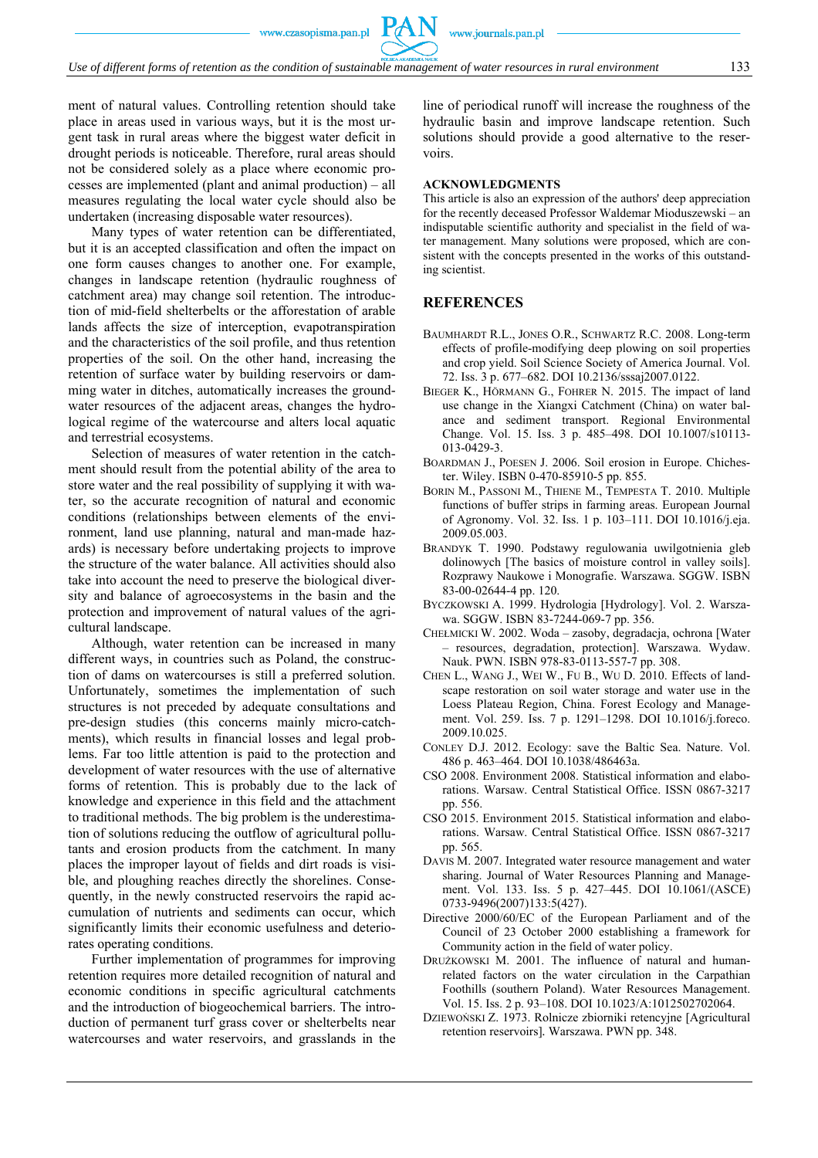ment of natural values. Controlling retention should take place in areas used in various ways, but it is the most urgent task in rural areas where the biggest water deficit in drought periods is noticeable. Therefore, rural areas should not be considered solely as a place where economic processes are implemented (plant and animal production) – all measures regulating the local water cycle should also be undertaken (increasing disposable water resources).

Many types of water retention can be differentiated, but it is an accepted classification and often the impact on one form causes changes to another one. For example, changes in landscape retention (hydraulic roughness of catchment area) may change soil retention. The introduction of mid-field shelterbelts or the afforestation of arable lands affects the size of interception, evapotranspiration and the characteristics of the soil profile, and thus retention properties of the soil. On the other hand, increasing the retention of surface water by building reservoirs or damming water in ditches, automatically increases the groundwater resources of the adjacent areas, changes the hydrological regime of the watercourse and alters local aquatic and terrestrial ecosystems.

Selection of measures of water retention in the catchment should result from the potential ability of the area to store water and the real possibility of supplying it with water, so the accurate recognition of natural and economic conditions (relationships between elements of the environment, land use planning, natural and man-made hazards) is necessary before undertaking projects to improve the structure of the water balance. All activities should also take into account the need to preserve the biological diversity and balance of agroecosystems in the basin and the protection and improvement of natural values of the agricultural landscape.

Although, water retention can be increased in many different ways, in countries such as Poland, the construction of dams on watercourses is still a preferred solution. Unfortunately, sometimes the implementation of such structures is not preceded by adequate consultations and pre-design studies (this concerns mainly micro-catchments), which results in financial losses and legal problems. Far too little attention is paid to the protection and development of water resources with the use of alternative forms of retention. This is probably due to the lack of knowledge and experience in this field and the attachment to traditional methods. The big problem is the underestimation of solutions reducing the outflow of agricultural pollutants and erosion products from the catchment. In many places the improper layout of fields and dirt roads is visible, and ploughing reaches directly the shorelines. Consequently, in the newly constructed reservoirs the rapid accumulation of nutrients and sediments can occur, which significantly limits their economic usefulness and deteriorates operating conditions.

Further implementation of programmes for improving retention requires more detailed recognition of natural and economic conditions in specific agricultural catchments and the introduction of biogeochemical barriers. The introduction of permanent turf grass cover or shelterbelts near watercourses and water reservoirs, and grasslands in the

line of periodical runoff will increase the roughness of the hydraulic basin and improve landscape retention. Such solutions should provide a good alternative to the reservoirs.

#### **ACKNOWLEDGMENTS**

This article is also an expression of the authors' deep appreciation for the recently deceased Professor Waldemar Mioduszewski – an indisputable scientific authority and specialist in the field of water management. Many solutions were proposed, which are consistent with the concepts presented in the works of this outstanding scientist.

#### **REFERENCES**

- BAUMHARDT R.L., JONES O.R., SCHWARTZ R.C. 2008. Long-term effects of profile-modifying deep plowing on soil properties and crop yield. Soil Science Society of America Journal. Vol. 72. Iss. 3 p. 677–682. DOI 10.2136/sssaj2007.0122.
- BIEGER K., HÖRMANN G., FOHRER N. 2015. The impact of land use change in the Xiangxi Catchment (China) on water balance and sediment transport. Regional Environmental Change. Vol. 15. Iss. 3 p. 485–498. DOI 10.1007/s10113- 013-0429-3.
- BOARDMAN J., POESEN J. 2006. Soil erosion in Europe. Chichester. Wiley. ISBN 0-470-85910-5 pp. 855.
- BORIN M., PASSONI M., THIENE M., TEMPESTA T. 2010. Multiple functions of buffer strips in farming areas. European Journal of Agronomy. Vol. 32. Iss. 1 p. 103–111. DOI 10.1016/j.eja. 2009.05.003.
- BRANDYK T. 1990. Podstawy regulowania uwilgotnienia gleb dolinowych [The basics of moisture control in valley soils]. Rozprawy Naukowe i Monografie. Warszawa. SGGW. ISBN 83-00-02644-4 pp. 120.
- BYCZKOWSKI A. 1999. Hydrologia [Hydrology]. Vol. 2. Warszawa. SGGW. ISBN 83-7244-069-7 pp. 356.
- CHEŁMICKI W. 2002. Woda zasoby, degradacja, ochrona [Water – resources, degradation, protection]. Warszawa. Wydaw. Nauk. PWN. ISBN 978-83-0113-557-7 pp. 308.
- CHEN L., WANG J., WEI W., FU B., WU D. 2010. Effects of landscape restoration on soil water storage and water use in the Loess Plateau Region, China. Forest Ecology and Management. Vol. 259. Iss. 7 p. 1291–1298. DOI 10.1016/j.foreco. 2009.10.025.
- CONLEY D.J. 2012. Ecology: save the Baltic Sea. Nature. Vol. 486 p. 463–464. DOI 10.1038/486463a.
- CSO 2008. Environment 2008. Statistical information and elaborations. Warsaw. Central Statistical Office. ISSN 0867-3217 pp. 556.
- CSO 2015. Environment 2015. Statistical information and elaborations. Warsaw. Central Statistical Office. ISSN 0867-3217 pp. 565.
- DAVIS M. 2007. Integrated water resource management and water sharing. Journal of Water Resources Planning and Management. Vol. 133. Iss. 5 p. 427–445. DOI 10.1061/(ASCE) 0733-9496(2007)133:5(427).
- Directive 2000/60/EC of the European Parliament and of the Council of 23 October 2000 establishing a framework for Community action in the field of water policy.
- DRUŻKOWSKI M. 2001. The influence of natural and humanrelated factors on the water circulation in the Carpathian Foothills (southern Poland). Water Resources Management. Vol. 15. Iss. 2 p. 93–108. DOI 10.1023/A:1012502702064.
- DZIEWOŃSKI Z. 1973. Rolnicze zbiorniki retencyjne [Agricultural retention reservoirs]*.* Warszawa. PWN pp. 348.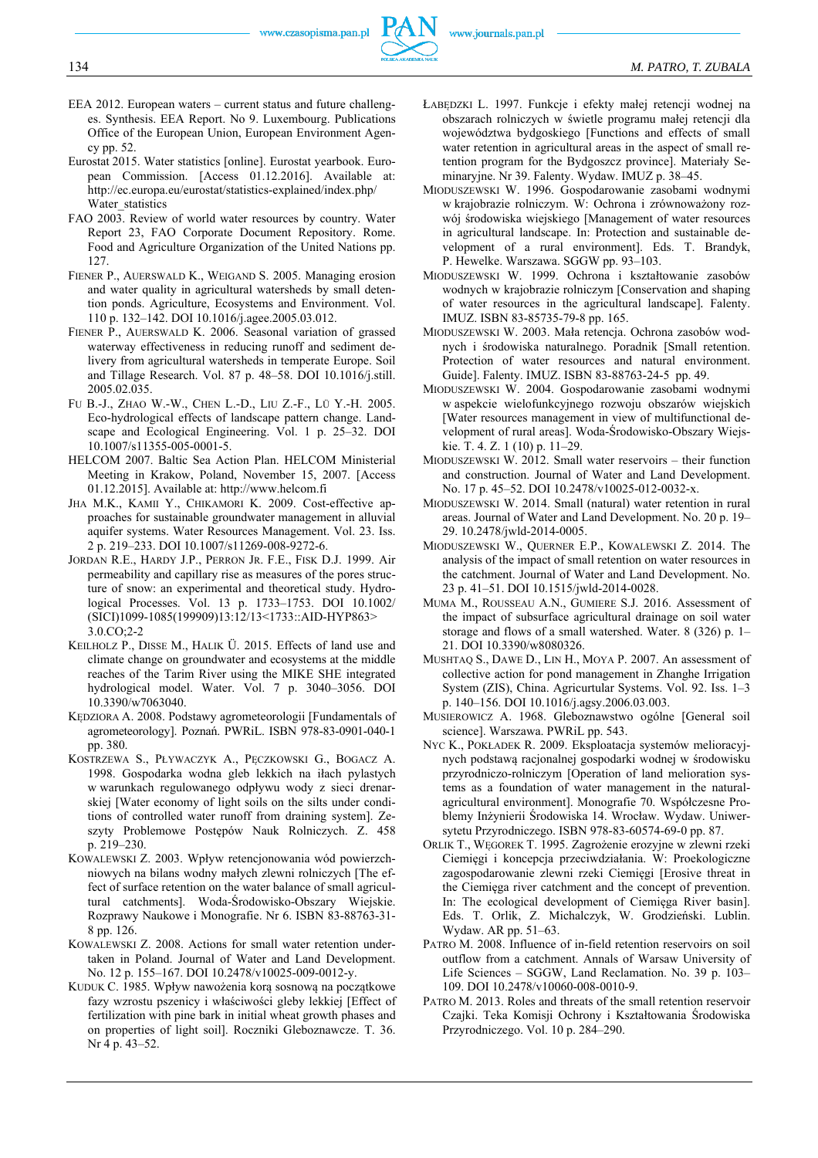

- EEA 2012. European waters current status and future challenges. Synthesis. EEA Report. No 9. Luxembourg. Publications Office of the European Union, European Environment Agency pp. 52.
- Eurostat 2015. Water statistics [online]. Eurostat yearbook. European Commission. [Access 01.12.2016]. Available at: http://ec.europa.eu/eurostat/statistics-explained/index.php/ Water\_statistics
- FAO 2003. Review of world water resources by country. Water Report 23, FAO Corporate Document Repository. Rome. Food and Agriculture Organization of the United Nations pp. 127.
- FIENER P., AUERSWALD K., WEIGAND S. 2005. Managing erosion and water quality in agricultural watersheds by small detention ponds. Agriculture, Ecosystems and Environment. Vol. 110 p. 132–142. DOI 10.1016/j.agee.2005.03.012.
- FIENER P., AUERSWALD K. 2006. Seasonal variation of grassed waterway effectiveness in reducing runoff and sediment delivery from agricultural watersheds in temperate Europe. Soil and Tillage Research. Vol. 87 p. 48–58. DOI 10.1016/j.still. 2005.02.035.
- FU B.-J., ZHAO W.-W., CHEN L.-D., LIU Z.-F., LÜ Y.-H. 2005. Eco-hydrological effects of landscape pattern change. Landscape and Ecological Engineering. Vol. 1 p. 25–32. DOI 10.1007/s11355-005-0001-5.
- HELCOM 2007. Baltic Sea Action Plan. HELCOM Ministerial Meeting in Krakow, Poland, November 15, 2007. [Access 01.12.2015]. Available at: http://www.helcom.fi
- JHA M.K., KAMII Y., CHIKAMORI K. 2009. Cost-effective approaches for sustainable groundwater management in alluvial aquifer systems. Water Resources Management. Vol. 23. Iss. 2 p. 219–233. DOI 10.1007/s11269-008-9272-6.
- JORDAN R.E., HARDY J.P., PERRON JR. F.E., FISK D.J. 1999. Air permeability and capillary rise as measures of the pores structure of snow: an experimental and theoretical study. Hydrological Processes. Vol. 13 p. 1733–1753. DOI 10.1002/ (SICI)1099-1085(199909)13:12/13<1733::AID-HYP863> 3.0.CO;2-2
- KEILHOLZ P., DISSE M., HALIK Ü. 2015. Effects of land use and climate change on groundwater and ecosystems at the middle reaches of the Tarim River using the MIKE SHE integrated hydrological model. Water. Vol. 7 p. 3040–3056. DOI 10.3390/w7063040.
- KĘDZIORA A. 2008. Podstawy agrometeorologii [Fundamentals of agrometeorology]. Poznań. PWRiL. ISBN 978-83-0901-040-1 pp. 380.
- KOSTRZEWA S., PŁYWACZYK A., PĘCZKOWSKI G., BOGACZ A. 1998. Gospodarka wodna gleb lekkich na iłach pylastych w warunkach regulowanego odpływu wody z sieci drenarskiej [Water economy of light soils on the silts under conditions of controlled water runoff from draining system]. Zeszyty Problemowe Postępów Nauk Rolniczych. Z. 458 p. 219–230.
- KOWALEWSKI Z. 2003. Wpływ retencjonowania wód powierzchniowych na bilans wodny małych zlewni rolniczych [The effect of surface retention on the water balance of small agricultural catchments]. Woda-Środowisko-Obszary Wiejskie. Rozprawy Naukowe i Monografie. Nr 6. ISBN 83-88763-31- 8 pp. 126.
- KOWALEWSKI Z. 2008. Actions for small water retention undertaken in Poland. Journal of Water and Land Development. No. 12 p. 155–167. DOI 10.2478/v10025-009-0012-y.
- KUDUK C. 1985. Wpływ nawożenia korą sosnową na początkowe fazy wzrostu pszenicy i właściwości gleby lekkiej [Effect of fertilization with pine bark in initial wheat growth phases and on properties of light soil]. Roczniki Gleboznawcze. T. 36. Nr 4 p. 43–52.
- ŁABĘDZKI L. 1997. Funkcje i efekty małej retencji wodnej na obszarach rolniczych w świetle programu małej retencji dla województwa bydgoskiego [Functions and effects of small water retention in agricultural areas in the aspect of small retention program for the Bydgoszcz province]. Materiały Seminaryjne. Nr 39. Falenty. Wydaw. IMUZ p. 38–45.
- MIODUSZEWSKI W. 1996. Gospodarowanie zasobami wodnymi w krajobrazie rolniczym. W: Ochrona i zrównoważony rozwój środowiska wiejskiego [Management of water resources in agricultural landscape. In: Protection and sustainable development of a rural environment]. Eds. T. Brandyk, P. Hewelke. Warszawa. SGGW pp. 93–103.
- MIODUSZEWSKI W. 1999. Ochrona i kształtowanie zasobów wodnych w krajobrazie rolniczym [Conservation and shaping of water resources in the agricultural landscape]*.* Falenty. IMUZ. ISBN 83-85735-79-8 pp. 165.
- MIODUSZEWSKI W. 2003. Mała retencja. Ochrona zasobów wodnych i środowiska naturalnego. Poradnik [Small retention. Protection of water resources and natural environment. Guide]. Falenty. IMUZ. ISBN 83-88763-24-5 pp. 49.
- MIODUSZEWSKI W. 2004. Gospodarowanie zasobami wodnymi w aspekcie wielofunkcyjnego rozwoju obszarów wiejskich [Water resources management in view of multifunctional development of rural areas]. Woda-Środowisko-Obszary Wiejskie. T. 4. Z. 1 (10) p. 11–29.
- MIODUSZEWSKI W. 2012. Small water reservoirs their function and construction. Journal of Water and Land Development. No. 17 p. 45–52. DOI 10.2478/v10025-012-0032-x.
- MIODUSZEWSKI W. 2014. Small (natural) water retention in rural areas. Journal of Water and Land Development. No. 20 p. 19– 29. 10.2478/jwld-2014-0005.
- MIODUSZEWSKI W., QUERNER E.P., KOWALEWSKI Z. 2014. The analysis of the impact of small retention on water resources in the catchment. Journal of Water and Land Development. No. 23 p. 41–51. DOI 10.1515/jwld-2014-0028.
- MUMA M., ROUSSEAU A.N., GUMIERE S.J. 2016. Assessment of the impact of subsurface agricultural drainage on soil water storage and flows of a small watershed. Water. 8 (326) p. 1– 21. DOI 10.3390/w8080326.
- MUSHTAQ S., DAWE D., LIN H., MOYA P. 2007. An assessment of collective action for pond management in Zhanghe Irrigation System (ZIS), China. Agricurtular Systems. Vol. 92. Iss. 1–3 p. 140–156. DOI 10.1016/j.agsy.2006.03.003.
- MUSIEROWICZ A. 1968. Gleboznawstwo ogólne [General soil science]. Warszawa. PWRiL pp. 543.
- NYC K., POKŁADEK R. 2009. Eksploatacja systemów melioracyjnych podstawą racjonalnej gospodarki wodnej w środowisku przyrodniczo-rolniczym [Operation of land melioration systems as a foundation of water management in the naturalagricultural environment]. Monografie 70. Współczesne Problemy Inżynierii Środowiska 14. Wrocław. Wydaw. Uniwersytetu Przyrodniczego. ISBN 978-83-60574-69-0 pp. 87.
- ORLIK T., WĘGOREK T. 1995. Zagrożenie erozyjne w zlewni rzeki Ciemięgi i koncepcja przeciwdziałania. W: Proekologiczne zagospodarowanie zlewni rzeki Ciemięgi [Erosive threat in the Ciemięga river catchment and the concept of prevention. In: The ecological development of Ciemięga River basin]. Eds. T. Orlik, Z. Michalczyk, W. Grodzieński. Lublin. Wydaw. AR pp. 51–63.
- PATRO M. 2008. Influence of in-field retention reservoirs on soil outflow from a catchment. Annals of Warsaw University of Life Sciences – SGGW, Land Reclamation. No. 39 p. 103– 109. DOI 10.2478/v10060-008-0010-9.
- PATRO M. 2013. Roles and threats of the small retention reservoir Czajki. Teka Komisji Ochrony i Kształtowania Środowiska Przyrodniczego. Vol. 10 p. 284–290.